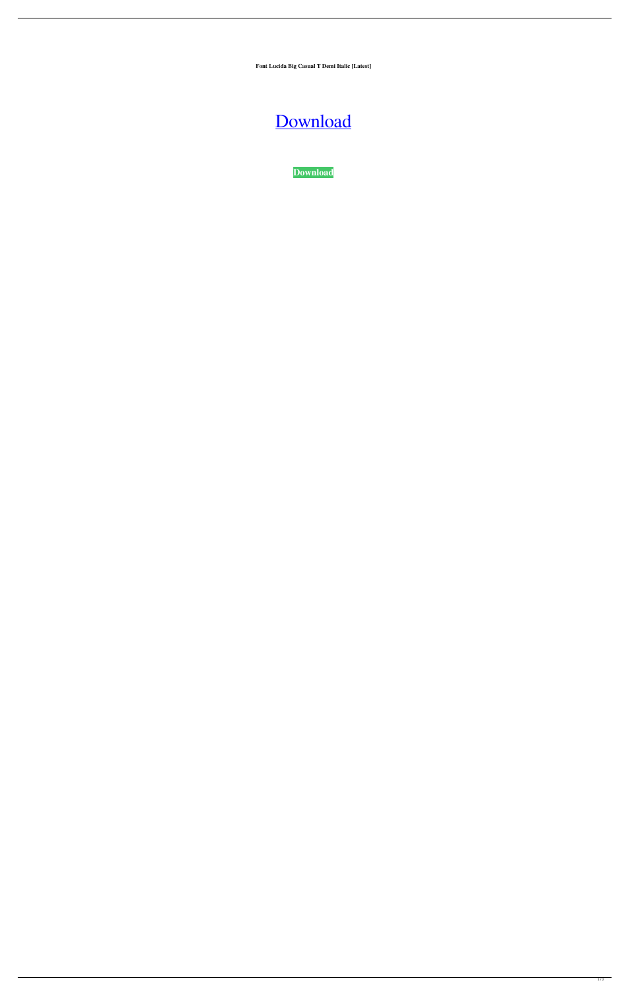**Font Lucida Big Casual T Demi Italic [Latest]**

## [Download](http://evacdir.com/?heartworms=cpap/Zm9udCBsdWNpZGEgYmlnIGNhc3VhbCB0IGRlbWkgaXRhbGljZm9/feasted/cronic.ZG93bmxvYWR8UXExZG1ocmZId3hOalV5TkRZek1EVXdmSHd5TlRjMGZId29UU2tnY21WaFpDMWliRzluSUZ0R1lYTjBJRWRGVGww)

**[Download](http://evacdir.com/?heartworms=cpap/Zm9udCBsdWNpZGEgYmlnIGNhc3VhbCB0IGRlbWkgaXRhbGljZm9/feasted/cronic.ZG93bmxvYWR8UXExZG1ocmZId3hOalV5TkRZek1EVXdmSHd5TlRjMGZId29UU2tnY21WaFpDMWliRzluSUZ0R1lYTjBJRWRGVGww)**